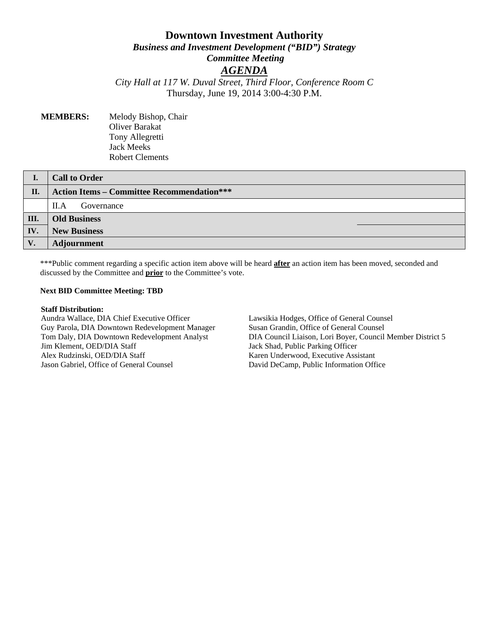# **Downtown Investment Authority** *Business and Investment Development ("BID") Strategy Committee Meeting AGENDA*

*City Hall at 117 W. Duval Street, Third Floor, Conference Room C* Thursday, June 19, 2014 3:00-4:30 P.M.

### **MEMBERS:** Melody Bishop, Chair Oliver Barakat Tony Allegretti Jack Meeks Robert Clements

|      | <b>Call to Order</b>                              |
|------|---------------------------------------------------|
| II.  | <b>Action Items – Committee Recommendation***</b> |
|      | Governance<br>II.A                                |
| III. | <b>Old Business</b>                               |
| IV.  | <b>New Business</b>                               |
| V.   | <b>Adjournment</b>                                |

\*\*\*Public comment regarding a specific action item above will be heard **after** an action item has been moved, seconded and discussed by the Committee and **prior** to the Committee's vote.

### **Next BID Committee Meeting: TBD**

### **Staff Distribution:**

Aundra Wallace, DIA Chief Executive Officer Guy Parola, DIA Downtown Redevelopment Manager Tom Daly, DIA Downtown Redevelopment Analyst Jim Klement, OED/DIA Staff Alex Rudzinski, OED/DIA Staff Jason Gabriel, Office of General Counsel

Lawsikia Hodges, Office of General Counsel Susan Grandin, Office of General Counsel DIA Council Liaison, Lori Boyer, Council Member District 5 Jack Shad, Public Parking Officer Karen Underwood, Executive Assistant David DeCamp, Public Information Office